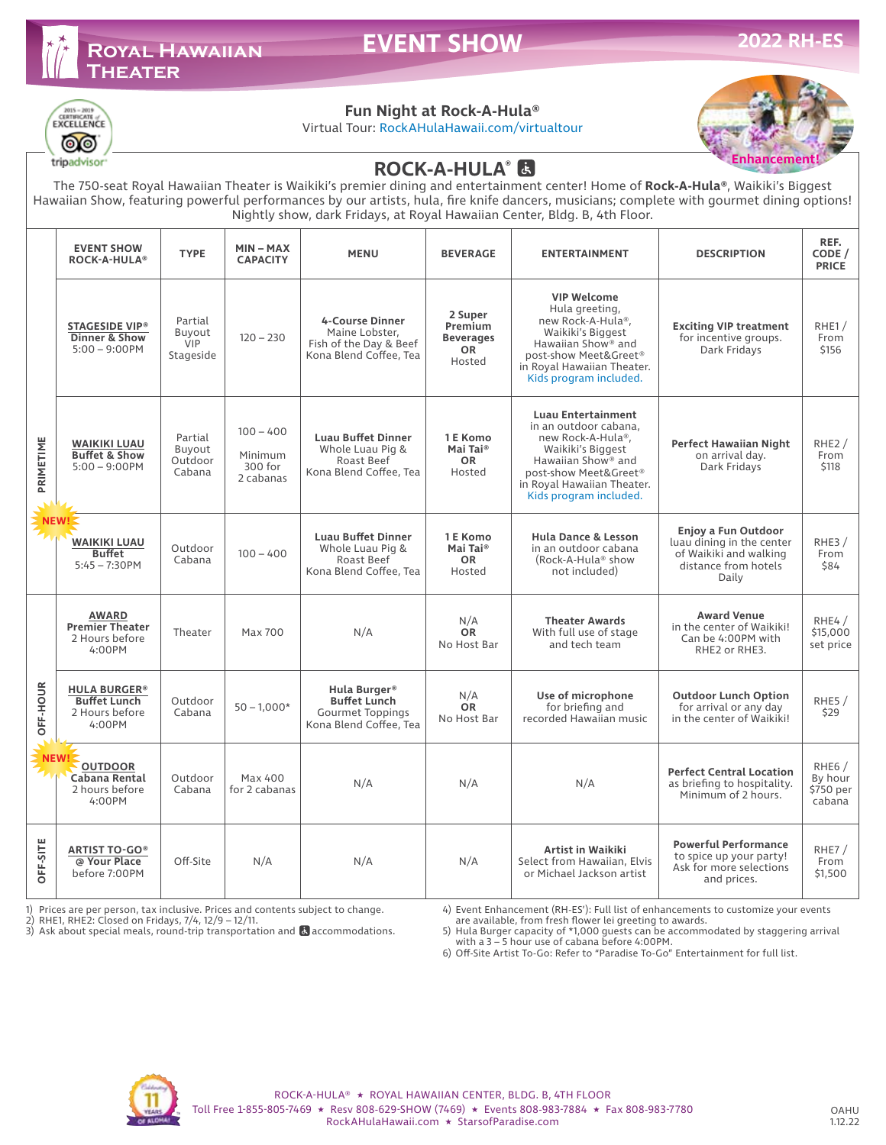

# **EVENT SHOW**



## **Fun Night at Rock-A-Hula®**

Virtual Tour: RockAHulaHawaii.com/virtualtour



tripadvisor

## **ROCK-A-HULA®**

The 750-seat Royal Hawaiian Theater is Waikiki's premier dining and entertainment center! Home of **Rock-A-Hula®**, Waikiki's Biggest Hawaiian Show, featuring powerful performances by our artists, hula, fire knife dancers, musicians; complete with gourmet dining options! Nightly show, dark Fridays, at Royal Hawaiian Center, Bldg. B, 4th Floor.

|                   | <b>EVENT SHOW</b><br><b>ROCK-A-HULA®</b>                               | <b>TYPE</b>                                  | $MIN - MAX$<br><b>CAPACITY</b>                 | <b>MENU</b>                                                                                  | <b>BEVERAGE</b>                                               | <b>ENTERTAINMENT</b>                                                                                                                                                                                            | <b>DESCRIPTION</b>                                                                                          | REF.<br>CODE /<br><b>PRICE</b>                       |
|-------------------|------------------------------------------------------------------------|----------------------------------------------|------------------------------------------------|----------------------------------------------------------------------------------------------|---------------------------------------------------------------|-----------------------------------------------------------------------------------------------------------------------------------------------------------------------------------------------------------------|-------------------------------------------------------------------------------------------------------------|------------------------------------------------------|
| PRIMETIME<br>NEW! | <b>STAGESIDE VIP®</b><br>Dinner & Show<br>$5:00 - 9:00$ PM             | Partial<br>Buyout<br><b>VIP</b><br>Stageside | $120 - 230$                                    | <b>4-Course Dinner</b><br>Maine Lobster,<br>Fish of the Day & Beef<br>Kona Blend Coffee, Tea | 2 Super<br>Premium<br><b>Beverages</b><br><b>OR</b><br>Hosted | <b>VIP Welcome</b><br>Hula greeting,<br>new Rock-A-Hula®,<br>Waikiki's Biggest<br>Hawaiian Show® and<br>post-show Meet&Greet®<br>in Royal Hawaiian Theater.<br>Kids program included.                           | <b>Exciting VIP treatment</b><br>for incentive groups.<br>Dark Fridays                                      | RHE1/<br>From<br>\$156                               |
|                   | <b>WAIKIKI LUAU</b><br><b>Buffet &amp; Show</b><br>$5:00 - 9:00$ PM    | Partial<br>Buyout<br>Outdoor<br>Cabana       | $100 - 400$<br>Minimum<br>300 for<br>2 cabanas | <b>Luau Buffet Dinner</b><br>Whole Luau Pig &<br>Roast Beef<br>Kona Blend Coffee, Tea        | 1 E Komo<br>Mai Tai <sup>®</sup><br><b>OR</b><br>Hosted       | <b>Luau Entertainment</b><br>in an outdoor cabana.<br>new Rock-A-Hula®,<br>Waikiki's Biggest<br>Hawaiian Show <sup>®</sup> and<br>post-show Meet&Greet®<br>in Royal Hawaiian Theater.<br>Kids program included. | <b>Perfect Hawaiian Night</b><br>on arrival day.<br>Dark Fridays                                            | RHE2/<br>From<br>\$118                               |
|                   | <b>WAIKIKI LUAU</b><br><b>Buffet</b><br>$5:45 - 7:30$ PM               | Outdoor<br>Cabana                            | $100 - 400$                                    | <b>Luau Buffet Dinner</b><br>Whole Luau Pig &<br>Roast Beef<br>Kona Blend Coffee, Tea        | 1 E Komo<br>Mai Tai <sup>®</sup><br><b>OR</b><br>Hosted       | <b>Hula Dance &amp; Lesson</b><br>in an outdoor cabana<br>(Rock-A-Hula <sup>®</sup> show<br>not included)                                                                                                       | Enjoy a Fun Outdoor<br>luau dining in the center<br>of Waikiki and walking<br>distance from hotels<br>Daily | RHE3/<br>From<br>\$84                                |
| OFF-HOUR          | <b>AWARD</b><br><b>Premier Theater</b><br>2 Hours before<br>4:00PM     | Theater                                      | Max 700                                        | N/A                                                                                          | N/A<br><b>OR</b><br>No Host Bar                               | <b>Theater Awards</b><br>With full use of stage<br>and tech team                                                                                                                                                | <b>Award Venue</b><br>in the center of Waikiki!<br>Can be 4:00PM with<br>RHE2 or RHE3.                      | RHE4/<br>\$15,000<br>set price                       |
|                   | <b>HULA BURGER®</b><br><b>Buffet Lunch</b><br>2 Hours before<br>4:00PM | Outdoor<br>Cabana                            | $50 - 1.000*$                                  | Hula Burger®<br><b>Buffet Lunch</b><br><b>Gourmet Toppings</b><br>Kona Blend Coffee, Tea     | N/A<br><b>OR</b><br>No Host Bar                               | Use of microphone<br>for briefing and<br>recorded Hawaiian music                                                                                                                                                | <b>Outdoor Lunch Option</b><br>for arrival or any day<br>in the center of Waikiki!                          | RHE5/<br>\$29                                        |
|                   | NEW!<br><b>OUTDOOR</b><br>Cabana Rental<br>2 hours before<br>4:00PM    | Outdoor<br>Cabana                            | Max 400<br>for 2 cabanas                       | N/A                                                                                          | N/A                                                           | N/A                                                                                                                                                                                                             | <b>Perfect Central Location</b><br>as briefing to hospitality.<br>Minimum of 2 hours.                       | RHE <sub>6</sub> /<br>By hour<br>\$750 per<br>cabana |
| OFF-SITE          | <b>ARTIST TO-GO®</b><br>@ Your Place<br>before 7:00PM                  | Off-Site                                     | N/A                                            | N/A                                                                                          | N/A                                                           | Artist in Waikiki<br>Select from Hawaiian, Elvis<br>or Michael Jackson artist                                                                                                                                   | <b>Powerful Performance</b><br>to spice up your party!<br>Ask for more selections<br>and prices.            | RHE7 /<br>From<br>\$1,500                            |

1) Prices are per person, tax inclusive. Prices and contents subject to change.

2) RHE1, RHE2: Closed on Fridays, 7/4, 12/9 – 12/11.

3) Ask about special meals, round-trip transportation and **&** accommodations.

4) Event Enhancement (RH-ES'): Full list of enhancements to customize your events

are available, from fresh flower lei greeting to awards. 5) Hula Burger capacity of \*1,000 guests can be accommodated by staggering arrival

with a 3 – 5 hour use of cabana before 4:00PM. 6) Off-Site Artist To-Go: Refer to "Paradise To-Go" Entertainment for full list.